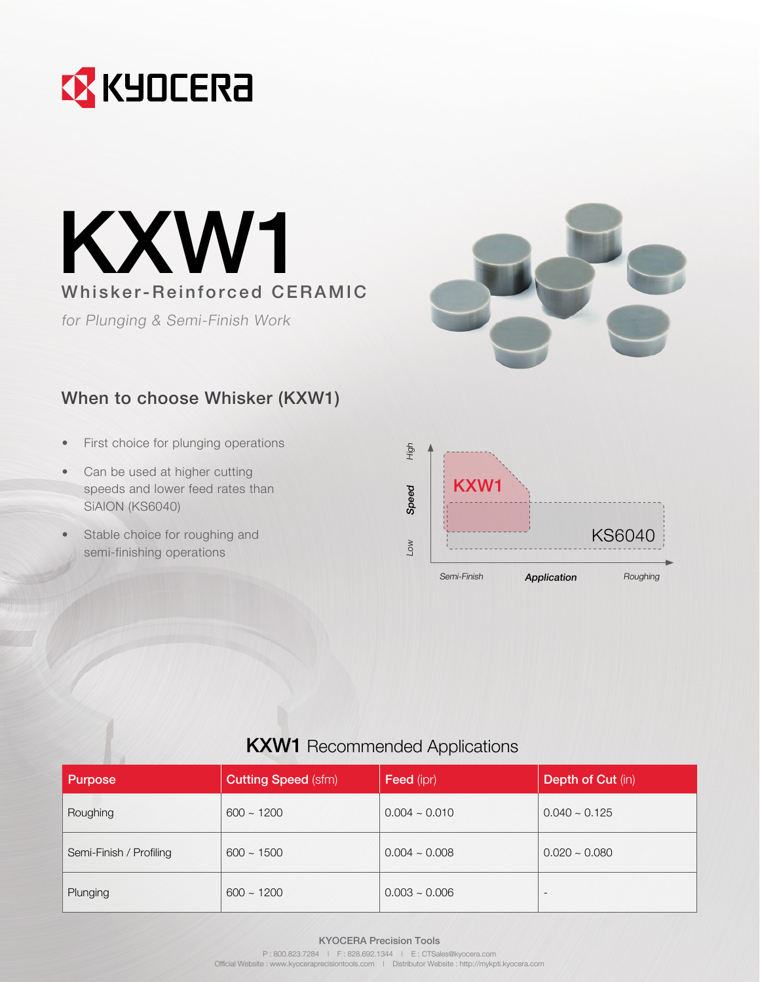



for Plunging & Semi-Finish Work



## When to choose Whisker (KXW1)

- First choice for plunging operations
- Can be used at higher cutting speeds and lower feed rates than SiAlON (KS6040)
- Stable choice for roughing and semi-finishing operations



|  |  | <b>KXW1</b> Recommended Applications |
|--|--|--------------------------------------|
|--|--|--------------------------------------|

| <b>Purpose</b>          | <b>Cutting Speed (sfm)</b> | <b>Feed</b> (ipr) | <b>Depth of Cut (in)</b> |
|-------------------------|----------------------------|-------------------|--------------------------|
| Roughing                | $600 \sim 1200$            | $0.004 - 0.010$   | $0.040 \sim 0.125$       |
| Semi-Finish / Profiling | $600 \sim 1500$            | $0.004 - 0.008$   | $0.020 - 0.080$          |
| Plunging                | $600 \sim 1200$            | $0.003 - 0.006$   | $\overline{\phantom{a}}$ |